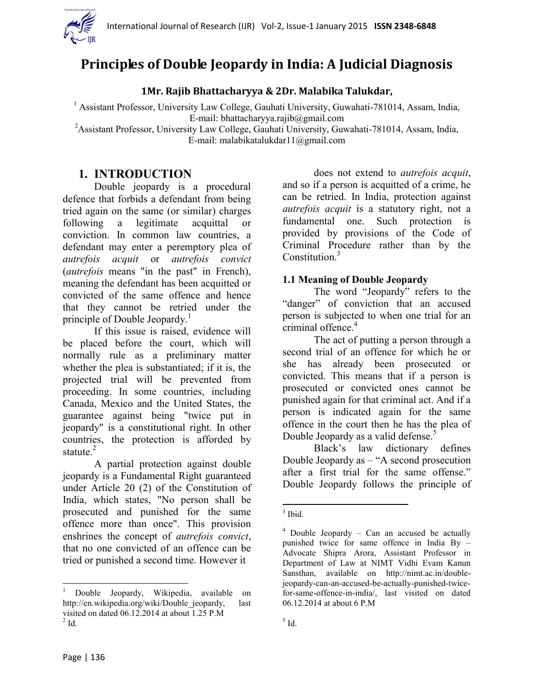

# **Principles of Double Jeopardy in India: A Judicial Diagnosis**

**1Mr. Rajib Bhattacharyya & 2Dr. Malabika Talukdar,**

<sup>1</sup> Assistant Professor, University Law College, Gauhati University, Guwahati-781014, Assam, India, E-mail: bhattacharyya.rajib@gmail.com

<sup>2</sup> Assistant Professor, University Law College, Gauhati University, Guwahati-781014, Assam, India, E-mail: malabikatalukdar11@gmail.com

## **1. INTRODUCTION**

Double jeopardy is a procedural defence that forbids a defendant from being tried again on the same (or similar) charges following a legitimate acquittal or conviction. In common law countries, a defendant may enter a peremptory plea of *autrefois acquit* or *autrefois convict*  (*autrefois* means "in the past" in French), meaning the defendant has been acquitted or convicted of the same offence and hence that they cannot be retried under the principle of Double Jeopardy.<sup>1</sup>

If this issue is raised, evidence will be placed before the court, which will normally rule as a preliminary matter whether the plea is substantiated; if it is, the projected trial will be prevented from proceeding. In some countries, including Canada, Mexico and the United States, the guarantee against being "twice put in jeopardy" is a constitutional right. In other countries, the protection is afforded by statute.<sup>2</sup>

A partial protection against double jeopardy is a Fundamental Right guaranteed under Article 20 (2) of the Constitution of India, which states, "No person shall be prosecuted and punished for the same offence more than once". This provision enshrines the concept of *autrefois convict*, that no one convicted of an offence can be tried or punished a second time. However it

does not extend to *autrefois acquit*, and so if a person is acquitted of a crime, he can be retried. In India, protection against *autrefois acquit* is a statutory right, not a fundamental one. Such protection is provided by provisions of the Code of Criminal Procedure rather than by the Constitution $3$ 

#### **1.1 Meaning of Double Jeopardy**

The word "Jeopardy" refers to the "danger" of conviction that an accused person is subjected to when one trial for an criminal offence.<sup>4</sup>

The act of putting a person through a second trial of an offence for which he or she has already been prosecuted or convicted. This means that if a person is prosecuted or convicted ones cannot be punished again for that criminal act. And if a person is indicated again for the same offence in the court then he has the plea of Double Jeopardy as a valid defense.<sup>5</sup>

Black"s law dictionary defines Double Jeopardy as – "A second prosecution after a first trial for the same offense." Double Jeopardy follows the principle of

 $\overline{\phantom{a}}$ <sup>1</sup> Double Jeopardy, Wikipedia, available on http://en.wikipedia.org/wiki/Double\_jeopardy, last visited on dated 06.12.2014 at about 1.25 P.M  $2$  Id.

 $\frac{3}{3}$  Ibid.

 $4$  Double Jeopardy – Can an accused be actually punished twice for same offence in India By – Advocate Shipra Arora, Assistant Professor in Department of Law at NIMT Vidhi Evam Kanun Sansthan, available on [http://nimt.ac.in/double](http://nimt.ac.in/double-jeopardy-can-an-accused-be-actually-punished-twice-for-same-offence-in-india/)[jeopardy-can-an-accused-be-actually-punished-twice](http://nimt.ac.in/double-jeopardy-can-an-accused-be-actually-punished-twice-for-same-offence-in-india/)[for-same-offence-in-india/,](http://nimt.ac.in/double-jeopardy-can-an-accused-be-actually-punished-twice-for-same-offence-in-india/) last visited on dated 06.12.2014 at about 6 P.M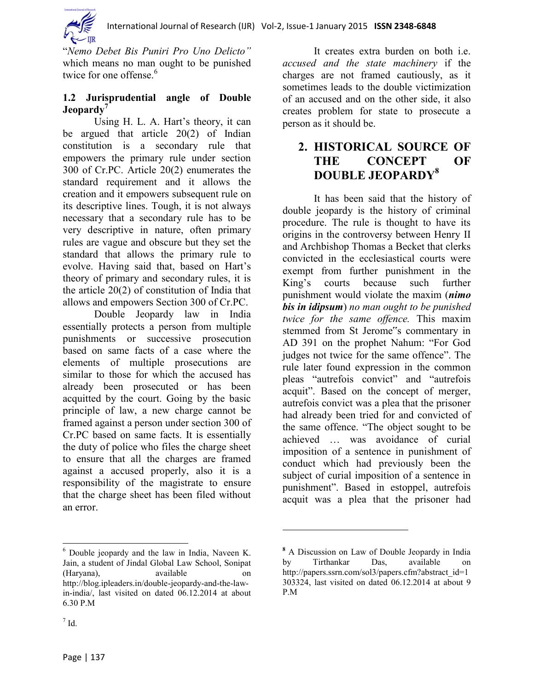

"*Nemo Debet Bis Puniri Pro Uno Delicto"*  which means no man ought to be punished twice for one offense.<sup>6</sup>

### **1.2 Jurisprudential angle of Double Jeopardy<sup>7</sup>**

Using H. L. A. Hart's theory, it can be argued that article 20(2) of Indian constitution is a secondary rule that empowers the primary rule under section 300 of Cr.PC. Article 20(2) enumerates the standard requirement and it allows the creation and it empowers subsequent rule on its descriptive lines. Tough, it is not always necessary that a secondary rule has to be very descriptive in nature, often primary rules are vague and obscure but they set the standard that allows the primary rule to evolve. Having said that, based on Hart's theory of primary and secondary rules, it is the article 20(2) of constitution of India that allows and empowers Section 300 of Cr.PC.

Double Jeopardy law in India essentially protects a person from multiple punishments or successive prosecution based on same facts of a case where the elements of multiple prosecutions are similar to those for which the accused has already been prosecuted or has been acquitted by the court. Going by the basic principle of law, a new charge cannot be framed against a person under section 300 of Cr.PC based on same facts. It is essentially the duty of police who files the charge sheet to ensure that all the charges are framed against a accused properly, also it is a responsibility of the magistrate to ensure that the charge sheet has been filed without an error.

<sup>6</sup> Double jeopardy and the law in India, Naveen K. Jain, a student of Jindal Global Law School, Sonipat (Haryana), available on http://blog.ipleaders.in/double-jeopardy-and-the-lawin-india/, last visited on dated 06.12.2014 at about 6.30 P.M

It creates extra burden on both i.e. *accused and the state machinery* if the charges are not framed cautiously, as it sometimes leads to the double victimization of an accused and on the other side, it also creates problem for state to prosecute a person as it should be.

# **2. HISTORICAL SOURCE OF THE CONCEPT OF DOUBLE JEOPARDY<sup>8</sup>**

It has been said that the history of double jeopardy is the history of criminal procedure. The rule is thought to have its origins in the controversy between Henry II and Archbishop Thomas a Becket that clerks convicted in the ecclesiastical courts were exempt from further punishment in the King"s courts because such further punishment would violate the maxim (*nimo bis in idipsum*) *no man ought to be punished twice for the same offence.* This maxim stemmed from St Jerome"s commentary in AD 391 on the prophet Nahum: "For God judges not twice for the same offence". The rule later found expression in the common pleas "autrefois convict" and "autrefois acquit". Based on the concept of merger, autrefois convict was a plea that the prisoner had already been tried for and convicted of the same offence. "The object sought to be achieved … was avoidance of curial imposition of a sentence in punishment of conduct which had previously been the subject of curial imposition of a sentence in punishment". Based in estoppel, autrefois acquit was a plea that the prisoner had

 $\overline{\phantom{a}}$ 

 $\overline{a}$ 

**<sup>8</sup>** A Discussion on Law of Double Jeopardy in India by Tirthankar Das, available on [http://papers.ssrn.com/sol3/papers.cfm?abstract\\_id=1](http://papers.ssrn.com/sol3/papers.cfm?abstract_id=1303324) [303324,](http://papers.ssrn.com/sol3/papers.cfm?abstract_id=1303324) last visited on dated 06.12.2014 at about 9 P.M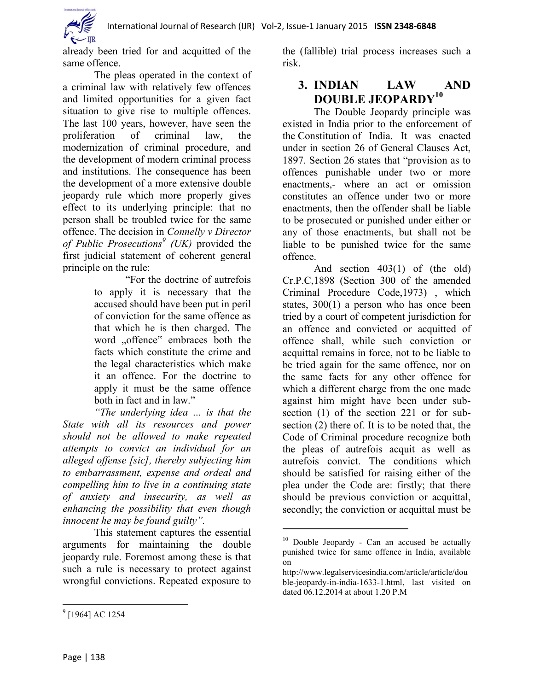already been tried for and acquitted of the same offence.

The pleas operated in the context of a criminal law with relatively few offences and limited opportunities for a given fact situation to give rise to multiple offences. The last 100 years, however, have seen the proliferation of criminal law, the modernization of criminal procedure, and the development of modern criminal process and institutions. The consequence has been the development of a more extensive double jeopardy rule which more properly gives effect to its underlying principle: that no person shall be troubled twice for the same offence. The decision in *Connelly v Director of Public Prosecutions<sup>9</sup> (UK)* provided the first judicial statement of coherent general principle on the rule:

> "For the doctrine of autrefois to apply it is necessary that the accused should have been put in peril of conviction for the same offence as that which he is then charged. The word "offence" embraces both the facts which constitute the crime and the legal characteristics which make it an offence. For the doctrine to apply it must be the same offence both in fact and in law."

*"The underlying idea … is that the State with all its resources and power should not be allowed to make repeated attempts to convict an individual for an alleged offense [sic], thereby subjecting him to embarrassment, expense and ordeal and compelling him to live in a continuing state of anxiety and insecurity, as well as enhancing the possibility that even though innocent he may be found guilty".*

This statement captures the essential arguments for maintaining the double jeopardy rule. Foremost among these is that such a rule is necessary to protect against wrongful convictions. Repeated exposure to

the (fallible) trial process increases such a risk.

# **3. INDIAN LAW AND DOUBLE JEOPARDY<sup>10</sup>**

The Double Jeopardy principle was existed in India prior to the enforcement of the [Constitution](http://www.legalserviceindia.com/constitution/const_home.htm) of India. It was enacted under in section 26 of General Clauses Act, 1897. Section 26 states that "provision as to offences punishable under two or more enactments,- where an act or omission constitutes an offence under two or more enactments, then the offender shall be liable to be prosecuted or punished under either or any of those enactments, but shall not be liable to be punished twice for the same offence.

And section 403(1) of (the old) Cr.P.C,1898 (Section 300 of the amended Criminal Procedure Code,1973) , which states, 300(1) a person who has once been tried by a court of competent jurisdiction for an offence and convicted or acquitted of offence shall, while such conviction or acquittal remains in force, not to be liable to be tried again for the same offence, nor on the same facts for any other offence for which a different charge from the one made against him might have been under subsection (1) of the section 221 or for subsection (2) there of. It is to be noted that, the Code of Criminal procedure recognize both the pleas of autrefois acquit as well as autrefois convict. The conditions which should be satisfied for raising either of the plea under the Code are: firstly; that there should be previous conviction or acquittal, secondly; the conviction or acquittal must be

 $\overline{a}$ 

 $10$  Double Jeopardy - Can an accused be actually punished twice for same offence in India, available on

[http://www.legalservicesindia.com/article/article/dou](http://www.legalservicesindia.com/article/article/double-jeopardy-in-india-1633-1.html) [ble-jeopardy-in-india-1633-1.html,](http://www.legalservicesindia.com/article/article/double-jeopardy-in-india-1633-1.html) last visited on dated 06.12.2014 at about 1.20 P.M

 $\overline{a}$ <sup>9</sup> [1964] AC 1254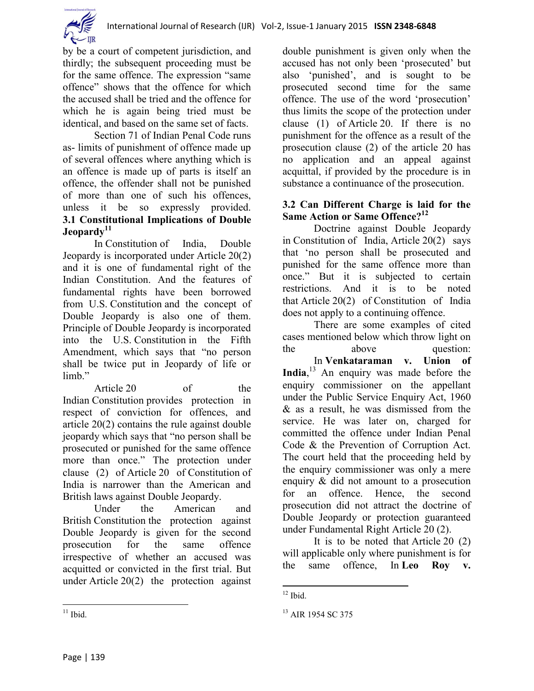

by be a court of competent jurisdiction, and thirdly; the subsequent proceeding must be for the same offence. The expression "same offence" shows that the offence for which the accused shall be tried and the offence for which he is again being tried must be identical, and based on the same set of facts.

Section 71 of Indian Penal Code runs as- limits of punishment of offence made up of several offences where anything which is an offence is made up of parts is itself an offence, the offender shall not be punished of more than one of such his offences, unless it be so expressly provided. **3.1 [Constitutiona](http://www.legalserviceindia.com/constitution/const_home.htm)l Implications of Double Jeopardy<sup>11</sup>**

In [Constitution](http://www.legalserviceindia.com/constitution/const_home.htm) of India, Double Jeopardy is incorporated under [Article](http://www.legalserviceindia.com/articles/articles.html) 20(2) and it is one of fundamental right of the Indian [Constitution.](http://www.legalserviceindia.com/constitution/const_home.htm) And the features of fundamental rights have been borrowed from U.S. [Constitution](http://www.legalserviceindia.com/constitution/const_home.htm) and the concept of Double Jeopardy is also one of them. Principle of Double Jeopardy is incorporated into the U.S. [Constitution](http://www.legalserviceindia.com/constitution/const_home.htm) in the Fifth Amendment, which says that "no person shall be twice put in Jeopardy of life or limb<sup>"</sup>

[Article](http://www.legalserviceindia.com/articles/articles.html) 20 of the Indian [Constitution](http://www.legalserviceindia.com/constitution/const_home.htm) provides protection in respect of conviction for offences, and article 20(2) contains the rule against double jeopardy which says that "no person shall be prosecuted or punished for the same offence more than once." The protection under clause (2) of [Article](http://www.legalserviceindia.com/articles/articles.html) 20 of [Constitution](http://www.legalserviceindia.com/constitution/const_home.htm) of India is narrower than the American and British laws against Double Jeopardy.

Under the American and British [Constitution](http://www.legalserviceindia.com/constitution/const_home.htm) the protection against Double Jeopardy is given for the second prosecution for the same offence irrespective of whether an accused was acquitted or convicted in the first trial. But under [Article](http://www.legalserviceindia.com/articles/articles.html) 20(2) the protection against double punishment is given only when the accused has not only been "prosecuted" but also "punished", and is sought to be prosecuted second time for the same offence. The use of the word "prosecution" thus limits the scope of the protection under clause (1) of [Article](http://www.legalserviceindia.com/articles/articles.html) 20. If there is no punishment for the offence as a result of the prosecution clause (2) of the article 20 has no application and an appeal against acquittal, if provided by the procedure is in substance a continuance of the prosecution.

#### **3.2 Can Different Charge is laid for the Same Action or Same Offence?<sup>12</sup>**

Doctrine against Double Jeopardy in [Constitution](http://www.legalserviceindia.com/constitution/const_home.htm) of India, [Article](http://www.legalserviceindia.com/articles/articles.html) 20(2) says that "no person shall be prosecuted and punished for the same offence more than once." But it is subjected to certain restrictions. And it is to be noted that [Article](http://www.legalserviceindia.com/articles/articles.html) 20(2) of [Constitution](http://www.legalserviceindia.com/constitution/const_home.htm) of India does not apply to a continuing offence.

There are some examples of cited cases mentioned below which throw light on the above question: In **Venkataraman v. Union of India**, <sup>13</sup> An enquiry was made before the enquiry commissioner on the appellant under the Public Service Enquiry Act, 1960 & as a result, he was dismissed from the service. He was later on, charged for committed the offence under Indian Penal Code & the Prevention of Corruption Act. The court held that the proceeding held by the enquiry commissioner was only a mere enquiry & did not amount to a prosecution for an offence. Hence, the second prosecution did not attract the doctrine of Double Jeopardy or protection guaranteed under Fundamental Right [Article](http://www.legalserviceindia.com/articles/articles.html) 20 (2).

It is to be noted that [Article](http://www.legalserviceindia.com/articles/articles.html) 20 (2) will applicable only where punishment is for the same offence, In **Leo Roy v.** 

 $\overline{\phantom{a}}$  $12$  Ibid.

<sup>&</sup>lt;sup>13</sup> AIR 1954 SC 375

 $\overline{a}$  $11$  Ibid.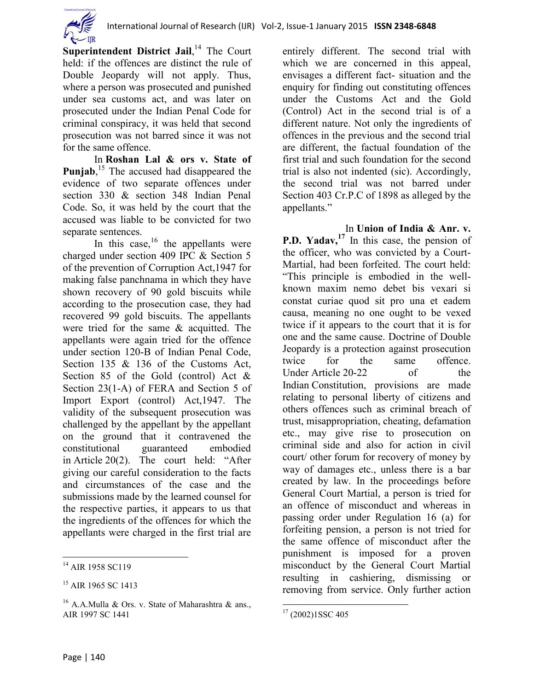

Superintendent District Jail,<sup>14</sup> The Court held: if the offences are distinct the rule of Double Jeopardy will not apply. Thus, where a person was prosecuted and punished under sea customs act, and was later on prosecuted under the Indian Penal Code for criminal conspiracy, it was held that second prosecution was not barred since it was not for the same offence.

In **Roshan Lal & ors v. State of**  Punjab,<sup>15</sup> The accused had disappeared the evidence of two separate offences under section 330 & section 348 Indian Penal Code. So, it was held by the court that the accused was liable to be convicted for two separate sentences.

In this case, $16$  the appellants were charged under section 409 IPC & Section 5 of the prevention of Corruption Act,1947 for making false panchnama in which they have shown recovery of 90 gold biscuits while according to the prosecution case, they had recovered 99 gold biscuits. The appellants were tried for the same & acquitted. The appellants were again tried for the offence under section 120-B of Indian Penal Code, Section 135 & 136 of the Customs Act, Section 85 of the Gold (control) Act & Section 23(1-A) of FERA and Section 5 of Import Export (control) Act,1947. The validity of the subsequent prosecution was challenged by the appellant by the appellant on the ground that it contravened the constitutional guaranteed embodied in [Article](http://www.legalserviceindia.com/articles/articles.html) 20(2). The court held: "After giving our careful consideration to the facts and circumstances of the case and the submissions made by the learned counsel for the respective parties, it appears to us that the ingredients of the offences for which the appellants were charged in the first trial are entirely different. The second trial with which we are concerned in this appeal, envisages a different fact- situation and the enquiry for finding out constituting offences under the Customs Act and the Gold (Control) Act in the second trial is of a different nature. Not only the ingredients of offences in the previous and the second trial are different, the factual foundation of the first trial and such foundation for the second trial is also not indented (sic). Accordingly, the second trial was not barred under Section 403 Cr.P.C of 1898 as alleged by the appellants."

In **Union of India & Anr. v. P.D. Yadav,<sup>17</sup>** In this case, the pension of the officer, who was convicted by a Court-Martial, had been forfeited. The court held: "This principle is embodied in the wellknown maxim nemo debet bis vexari si constat curiae quod sit pro una et eadem causa, meaning no one ought to be vexed twice if it appears to the court that it is for one and the same cause. Doctrine of Double Jeopardy is a protection against prosecution twice for the same offence. Under [Article](http://www.legalserviceindia.com/articles/articles.html) 20-22 of the Indian [Constitution,](http://www.legalserviceindia.com/constitution/const_home.htm) provisions are made relating to personal liberty of citizens and others offences such as criminal breach of trust, misappropriation, cheating, defamation etc., may give rise to prosecution on criminal side and also for action in civil court/ other forum for recovery of money by way of damages etc., unless there is a bar created by law. In the proceedings before General Court Martial, a person is tried for an offence of misconduct and whereas in passing order under Regulation 16 (a) for forfeiting pension, a person is not tried for the same offence of misconduct after the punishment is imposed for a proven misconduct by the General Court Martial resulting in cashiering, dismissing or removing from service. Only further action

 $\overline{a}$ 

 $\overline{\phantom{a}}$ <sup>14</sup> AIR 1958 SC119

<sup>&</sup>lt;sup>15</sup> AIR 1965 SC 1413

<sup>&</sup>lt;sup>16</sup> A.A.Mulla & Ors. v. State of Maharashtra & ans., AIR 1997 SC 1441

 $17$  (2002)1SSC 405